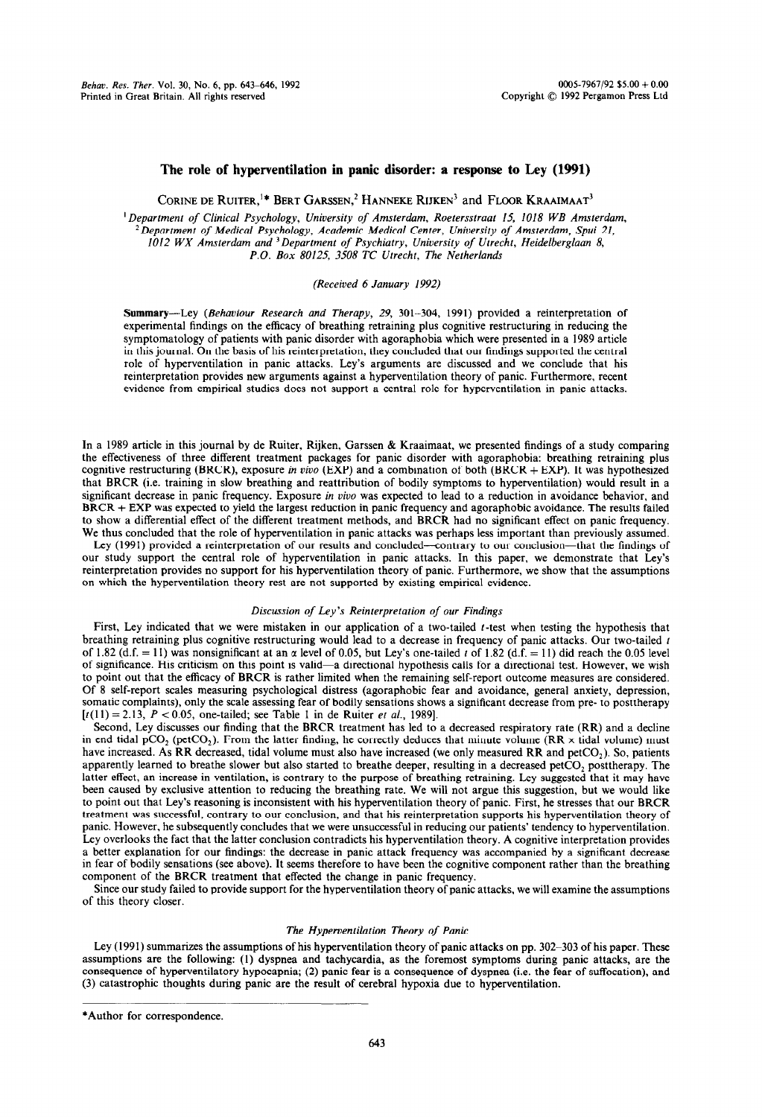# **The role of hyperventilation in panic disorder: a response to Ley (1991)**

CORINE DE RUITER,<sup>1\*</sup> BERT GARSSEN,<sup>2</sup> HANNEKE RIJKEN<sup>3</sup> and FLOOR KRAAIMAAT<sup>3</sup>

'Department *of Clinical Psychology, University of Amsterdam, Roetersstraat I5, 1018 WE Amsterdam, 'Department of Medical Psychology, Academic Medical Center, Universiiy of Amsterdam, Spui 21, 1012 WX Amsterdam and 'Department of Psychiutry, University of Utrecht, Heidelberglaan 8, P.O. Box 80125, 3508 TC Utrecht, The Netherlands* 

## *(Received 6 January 1992)*

Summary-Ley *(Behaviour Research and Therapy, 29, 301-304, 1991)* provided a reinterpretation of experimental findings on the efficacy of breathing retraining plus cognitive restructuring in reducing the symptomatology of patients with panic disorder with agoraphobia which were presented in a 1989 article in this journal. On the basis of his reinterpretation, they concluded that our findings supported the central role of hyperventilation in panic attacks. Ley's arguments are discussed and we conclude that his reinterpretation provides new arguments against a hyperventilation theory of panic. Furthermore, recent evidence from empirical studies does not support a central role for hyperventilation in panic attacks.

In a 1989 article in this journal by de Ruiter, Rijken, Garssen & Kraaimaat, we presented findings of a study comparing the effectiveness of three different treatment packages for panic disorder with agoraphobia: breathing retraining plus cognitive restructuring (BRCR), exposure *in vivo* (EXP) and a combination of both (BRCR + EXP). It was hypothesized that BRCR (i.e. training in slow breathing and reattribution of bodily symptoms to hyperventilation) would result in a significant decrease in panic frequency. Exposure in *vivo* was expected to lead to a reduction in avoidance behavior, and BRCR + EXP was expected to yield the largest reduction in panic frequency and agoraphobic avoidance. The results failed to show a differential effect of the different treatment methods, and BRCR had no significant effect on panic frequency. We thus concluded that the role of hyperventilation in panic attacks was perhaps less important than previously assumed.

Ley (1991) provided a reinterpretation of our results and concluded--contrary to our conclusion-that the findings of our study support the central role of hyperventilation in panic attacks. In this paper, we demonstrate that Ley's reinterpretation provides no support for his hyperventilation theory of panic. Furthermore, we show that the assumptions on which the hyperventilation theory rest are not supported by existing empirical evidence.

### *Discussion of Ley's Reinterpretation of our Findings*

First, Ley indicated that we were mistaken in our application of a two-tailed t-test when testing the hypothesis that breathing retraining plus cognitive restructuring would lead to a decrease in frequency of panic attacks. Our two-tailed t of 1.82 (d.f. = 11) was nonsignificant at an  $\alpha$  level of 0.05, but Ley's one-tailed t of 1.82 (d.f. = 11) did reach the 0.05 level of significance. His criticism on this point is valid-a directional hypothesis calls for a directional test. However, we wish to point out that the efficacy of BRCR is rather limited when the remaining self-report outcome measures are considered. Of 8 self-report scales measuring psychological distress (agoraphobic fear and avoidance, general anxiety, depression, somatic complaints), only the scale assessing fear of bodily sensations shows a significant decrease from pre- to posttherapy  $[t(11) = 2.13, P < 0.05,$  one-tailed; see Table 1 in de Ruiter et al., 1989].

Second, Ley discusses our finding that the BRCR treatment has led to a decreased respiratory rate (RR) and a decline in end tidal  $pCO_2$  (petCO<sub>2</sub>). From the latter finding, he correctly deduces that minute volume (RR  $\times$  tidal volume) must have increased. As RR decreased, tidal volume must also have increased (we only measured RR and petC0,). So, patients apparently learned to breathe slower but also started to breathe deeper, resulting in a decreased petC0, posttherapy. The latter effect, an increase in ventilation, is contrary to the purpose of breathing retraining. Ley suggested that it may have been caused by exclusive attention to reducing the breathing rate. We will not argue this suggestion, but we would like to point out that Ley's reasoning is inconsistent with his hyperventilation theory of panic. First, he stresses that our BRCR treatment was successful, contrary to our conclusion, and that his reinterpretation supports his hyperventilation theory of panic. However, he subsequently concludes that we were unsuccessful in reducing our patients' tendency to hyperventilation. Ley overlooks the fact that the latter conclusion contradicts his hyperventilation theory. A cognitive interpretation provides a better explanation for our findings: the decrease in panic attack frequency was accompanied by a significant decrease in fear of bodily sensations (see above). It seems therefore to have been the cognitive component rather than the breathing component of the BRCR treatment that effected the change in panic frequency.

Since our study failed to provide support for the hyperventilation theory of panic attacks, we will examine the assumptions of this theory closer.

#### *The Hyperventilation Theory of Panic*

*Ley (1991)* summarizes the assumptions of his hyperventilation theory of panic attacks on pp. 302-303 of his paper. These assumptions are the following: (1) dyspnea and tachycardia, as the foremost symptoms during panic attacks, are the consequence of hyperventilatory hypocapnia; (2) panic fear is a consequence of dyspnea (i.e. the fear of suffocation), and (3) catastrophic thoughts during panic are the result of cerebral hypoxia due to hyperventilation.

<sup>\*</sup>Author for correspondence.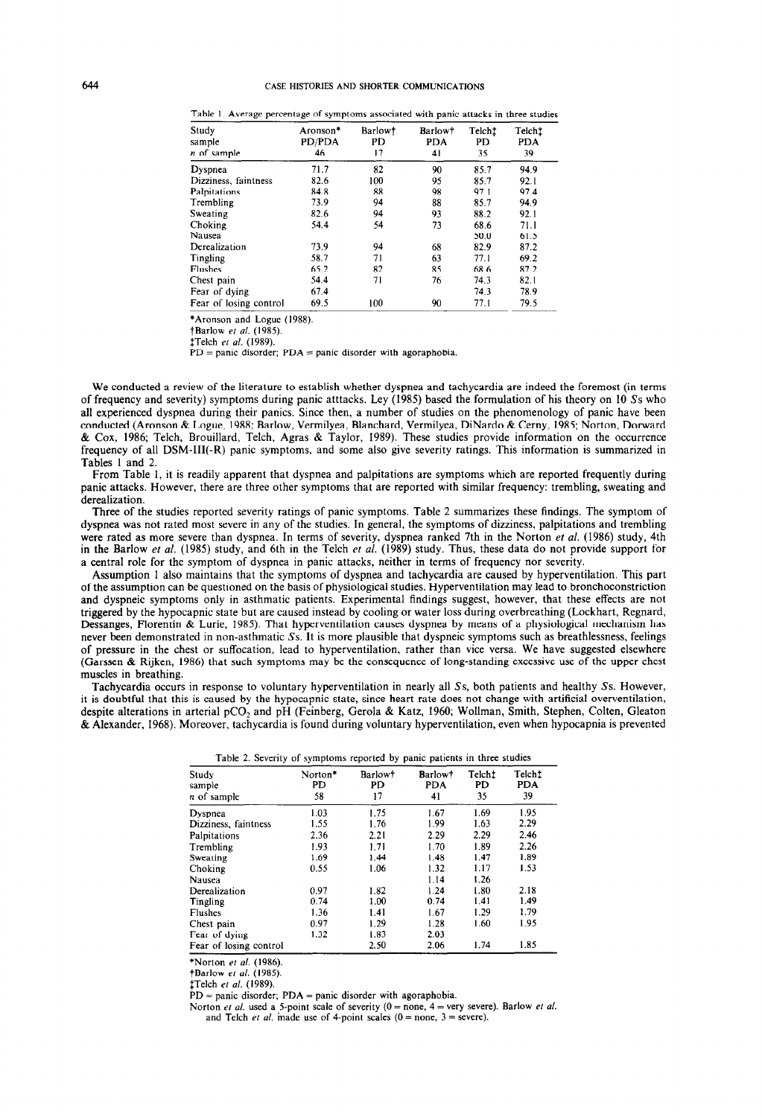#### CASE HISTORIES AND SHORTER COMMUNICATIONS

| Study<br>sample<br>n of sample | Aronson*<br>PD/PDA<br>46 | Barlow <sup>†</sup><br>PD<br>17 | Barlow <sup>+</sup><br><b>PDA</b><br>41 | Telcht<br>PD<br>35 | Telcht<br><b>PDA</b><br>39 |  |
|--------------------------------|--------------------------|---------------------------------|-----------------------------------------|--------------------|----------------------------|--|
| Dyspnea                        | 71.7                     | 82                              | 90                                      | 85.7               | 94.9                       |  |
| Dizziness, faintness           | 82.6                     | 100                             | 95                                      | 85.7               | 92.1                       |  |
| Palpitations                   | 84.8                     | 88                              | 98                                      | 97.1               | 97.4                       |  |
| Trembling                      | 73.9                     | 94                              | 88                                      | 85.7               | 94.9                       |  |
| Sweating                       | 82.6                     | 94                              | 93                                      | 88.2               | 92.1                       |  |
| Choking                        | 54.4                     | 54                              | 73                                      | 68.6               | 71.1                       |  |
| Nausea                         |                          |                                 |                                         | 50.0               | 61.5                       |  |
| Derealization                  | 73.9                     | 94                              | 68                                      | 82.9               | 87.2                       |  |
| Tingling                       | 58.7                     | 71                              | 63                                      | 77.1               | 69.2                       |  |
| <b>Flushes</b>                 | 65.2                     | 82                              | 85                                      | 68.6               | 87.2                       |  |
| Chest pain                     | 54.4                     | 71                              | 76                                      | 74.3               | 82.1                       |  |
| Fear of dying                  | 67.4                     |                                 |                                         | 74.3               | 78.9                       |  |
| Fear of losing control         | 69.5                     | 100                             | 90                                      | 77.1               | 79.5                       |  |

Table 1. Average percentage of symptoms associated with panic attacks in three studies

\*Aronson and Logue (1988).

†Barlow et al. (1985).

Teich et al. (1989).

 $PD =$  panic disorder;  $PDA =$  panic disorder with agoraphobia.

We conducted a review of the literature to establish whether dyspnea and tachycardia are indeed the foremost (in terms of frequency and severity) symptoms during panic atttacks. Ley (1985) based the formulation of his theory on 10 Ss who all experienced dyspnea during their panics. Since then, a number of studies on the phenomenology of panic have been conducted (Aronson & Logue, 1988; Barlow, Vermilyea, Blanchard, Vermilyea, DiNardo & Cerny, 1985; Norton, Dorward & Cox, 1986; Telch, Brouillard, Telch, Agras & Taylor, 1989). These studies provide information on the occurrence frequency of all DSM-III(-R) panic symptoms, and some also give severity ratings. This information is summarized in Tables 1 and 2.

From Table 1, it is readily apparent that dyspnea and palpitations are symptoms which are reported frequently during panic attacks. However, there are three other symptoms that are reported with similar frequency: trembling, sweating and derealization.

Three of the studies reported severity ratings of panic symptoms. Table 2 summarizes these findings. The symptom of dyspnea was not rated most severe in any of the studies. In general, the symptoms of dizziness, palpitations and trembling were rated as more severe than dyspnea. In terms of severity, dyspnea ranked 7th in the Norton et al. (1986) study, 4th in the Barlow et al. (1985) study, and 6th in the Telch et al. (1989) study. Thus, these data do not p a central role for the symptom of dyspnea in panic attacks, neither in terms of frequency nor severity.

Assumption 1 also maintains that the symptoms of dyspnea and tachycardia are caused by hyperventilation. This part of the assumption can be questioned on the basis of physiological studies. Hyperventilation may lead to bronchoconstriction and dyspneic symptoms only in asthmatic patients. Experimental findings suggest, however, that these effects are not triggered by the hypocapnic state but are caused instead by cooling or water loss during overbreathing (Lockhart, Regnard, Dessanges, Florentin & Lurie, 1985). That hyperventilation causes dyspnea by means of a physiological mechanism has never been demonstrated in non-asthmatic Ss. It is more plausible that dyspneic symptoms such as breathlessness, feelings of pressure in the chest or suffocation, lead to hyperventilation, rather than vice versa. We have suggested elsewhere (Garssen & Rijken, 1986) that such symptoms may be the consequence of long-standing excessive use of the upper chest muscles in breathing.

Tachycardia occurs in response to voluntary hyperventilation in nearly all Ss, both patients and healthy Ss. However, it is doubtful that this is caused by the hypocapnic state, since heart rate does not change with artificial overventilation, despite alterations in arterial pCO<sub>2</sub> and pH (Feinberg, Gerola & Katz, 1960; Wollman, Smith, Stephen, Colten, Gleaton & Alexander, 1968). Moreover, tachycardia is found during voluntary hyperventilation, even when hypocapnia is prevented

| Study<br>sample<br><i>n</i> of sample | Norton*<br>PD<br>58 | Barlow <sup>+</sup><br>PD<br>17 | Barlow <sup>†</sup><br>PDA<br>41 | Telcht<br>PD<br>35 | Telch <sub>1</sub><br><b>PDA</b><br>39 |  |  |
|---------------------------------------|---------------------|---------------------------------|----------------------------------|--------------------|----------------------------------------|--|--|
| Dyspnea                               | 1.03                | 1.75                            | 1.67                             | 1.69               | 1.95                                   |  |  |
| Dizziness, faintness                  | 1.55                | 1.76                            | 1.99                             | 1.63               | 2.29                                   |  |  |
| Palpitations                          | 2.36                | 2.21                            | 2.29                             | 2.29               | 2.46                                   |  |  |
| Trembling                             | 1.93                | 1.71                            | 1.70                             | 1.89               | 2.26                                   |  |  |
| Sweating                              | 1.69                | 1.44                            | 1.48                             | 1.47               | 1.89                                   |  |  |
| Choking                               | 0.55                | 1.06                            | 1.32                             | 1.17               | 1.53                                   |  |  |
| Nausea                                |                     |                                 | 1.14                             | 1.26               |                                        |  |  |
| Derealization                         | 0.97                | 1.82                            | 1.24                             | 1.80               | 2.18                                   |  |  |
| Tingling                              | 0.74                | 1.00                            | 0.74                             | 1.41               | 1.49                                   |  |  |
| Flushes                               | 1.36                | 1.41                            | 1.67                             | 1.29               | 1.79                                   |  |  |
| Chest pain                            | 0.97                | 1.29                            | 1.28                             | 1.60               | 1.95                                   |  |  |
| Fear of dying                         | 1.32                | 1.83                            | 2.03                             |                    |                                        |  |  |
| Fear of losing control                |                     | 2.50                            | 2.06                             | 1.74               | 1.85                                   |  |  |

\*Norton et al. (1986).

†Barlow et al. (1985).

†Telch et al. (1989).

 $PD =$  panic disorder;  $PDA =$  panic disorder with agoraphobia.

Norton et al. used a 5-point scale of severity ( $0 = none$ ,  $4 = very$  severe). Barlow et al. and Telch *et al.* made use of 4-point scales  $(0 = none, 3 = severe)$ .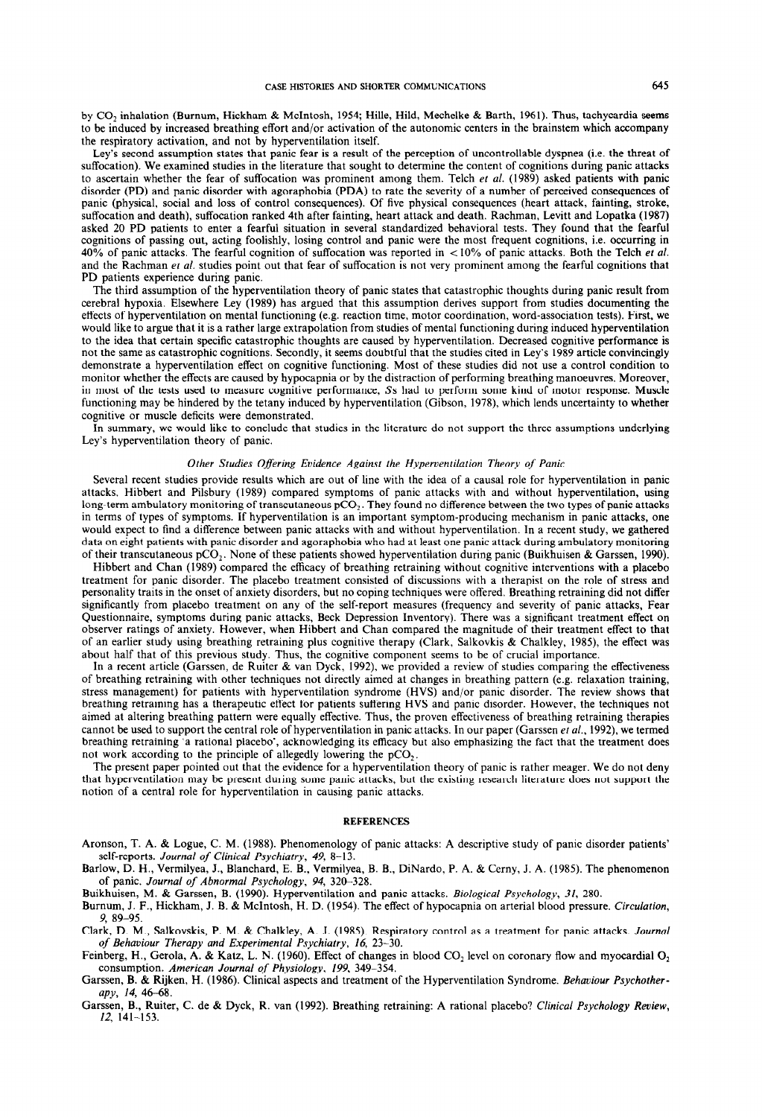by CO, inhalation (Burnum, Hickham & McIntosh, 1954; Hille, Hild, Mechelke & Barth, 1961). Thus, tachycardia seems to be induced by increased breathing effort and/or activation of the autonomic centers in the brainstem which accompany the respiratory activation, and not by hyperventilation itself.

Ley's second assumption states that panic fear is a result of the perception of uncontrollable dyspnea (i.e. the threat of suffocation). We examined studies in the literature that sought to determine the content of cognitions during panic attacks to ascertain whether the fear of suffocation was prominent among them. Telch et al. (1989) asked patients with panic disorder (PD) and panic disorder with agoraphobia (PDA) to rate the severity of a number of perceived consequences of panic (physical, social and loss of control consequences). Of five physical consequences (heart attack, fainting, stroke, suffocation and death), suffocation ranked 4th after fainting, heart attack and death. Rachman, Levitt and Lopatka (1987) asked 20 PD patients to enter a fearful situation in several standardized behavioral tests. They found that the fearful cognitions of passing out, acting foolishly, losing control and panic were the most frequent cognitions, i.e. occurring in 40% of panic attacks. The fearful cognition of suffocation was reported in  $\lt 10\%$  of panic attacks. Both the Telch et al. and the Rachman et al. studies point out that fear of suffocation is not very prominent among the fearful cognitions that PD patients experience during panic.

The third assumption of the hyperventilation theory of panic states that catastrophic thoughts during panic result from cerebral hypoxia. Elsewhere Ley (1989) has argued that this assumption derives support from studies documenting the effects of hyperventilation on mental functioning (e.g. reaction time, motor coordination, word-association tests). First, we would like to argue that it is a rather large extrapolation from studies of mental functioning during induced hyperventilation to the idea that certain specific catastrophic thoughts are caused by hyperventilation. Decreased cognitive performance is not the same as catastrophic cognitions. Secondly, it seems doubtful that the studies cited in Ley's 1989 article convincingly demonstrate a hyperventilation effect on cognitive functioning. Most of these studies did not use a control condition to monitor whether the effects are caused by hypocapnia or by the distraction of performing breathing manoeuvres. Moreover, in most of the tests used to measure cognitive performance, Ss had to perform some kind of motor response. Muscle functioning may be hindered by the tetany induced by hyperventilation (Gibson, 1978) which lends uncertainty to whether cognitive or muscle deficits were demonstrated.

In summary, we would like to conclude that studies in the literature do not support the three assumptions underlying Ley's hyperventilation theory of panic.

# *Other Studies Ofleering Evidence Against the Hyperventilation Theory of Panic*

Several recent studies provide results which are out of line with the idea of a causal role for hyperventilation in panic attacks. Hibbert and Pilsbury (1989) compared symptoms of panic attacks with and without hyperventilation, using long-term ambulatory monitoring of transcutaneous  $pCO<sub>2</sub>$ . They found no difference between the two types of panic attacks in terms of types of symptoms. If hyperventilation is an important symptom-producing mechanism in panic attacks, one would expect to find a difference between panic attacks with and without hyperventilation. In a recent study, we gathered data on eight patients with panic disorder and agoraphobia who had at least one panic attack during ambulatory monitoring of their transcutaneous pC0,. None of these patients showed hyperventilation during panic (Buikhuisen & Garssen, 1990).

Hibbert and Chan (1989) compared the efficacy of breathing retraining without cognitive interventions with a placebo treatment for panic disorder. The placebo treatment consisted of discussions with a therapist on the role of stress and personality traits in the onset of anxiety disorders, but no coping techniques were offered. Breathing retraining did not differ significantly from placebo treatment on any of the self-report measures (frequency and severity of panic attacks, Fear Questionnaire, symptoms during panic attacks, Beck Depression Inventory). There was a significant treatment effect on observer ratings of anxiety. However, when Hibbert and Chan compared the magnitude of their treatment effect to that of an earlier study using breathing retraining plus cognitive therapy (Clark, Salkovkis & Chalkley, 1985), the effect was about half that of this previous study. Thus, the cognitive component seems to be of crucial importance.

In a recent article (Garssen, de Ruiter & van Dyck, 1992). we provided a review of studies comparing the effectiveness of breathing retraining with other techniques not directly aimed at changes in breathing pattern (e.g. relaxation training, stress management) for patients with hyperventilation syndrome (HVS) and/or panic disorder. The review shows that breathing retraining has a therapeutic effect for patients suffering HVS and panic disorder. However, the techniques not aimed at altering breathing pattern were equally effective. Thus, the proven effectiveness of breathing retraining therapies cannot be used to support the central role of hyperventilation in panic attacks. In our paper (Garssen er *al.,* 1992) we termed breathing retraining 'a rational placebo', acknowledging its efficacy but also emphasizing the fact that the treatment does not work according to the principle of allegedly lowering the  $pCO<sub>2</sub>$ .

The present paper pointed out that the evidence for a hyperventilation theory of panic is rather meager. We do not deny that hyperventilation may be present during some panic attacks, but the existing research literature does not support the notion of a central role for hyperventilation in causing panic attacks.

### **REFERENCES**

Aronson, T. A. & Logue, C. M. (1988). Phenomenology of panic attacks: A descriptive study of panic disorder patients' self-reports. *Journal of Clinical Psychiatry, 49, 8-13.* 

Barlow, D. H., Vermilyea, J., Blanchard, E. B., Vermilyea, B. B., DiNardo, P. A. & Cerny, J. A. (1985). The phenomenon of panic. *Journal of Abnormal Psychology, 94, 32G-328.* 

Buikhuisen, M. & Garssen, B. (1990). Hyperventilation and panic attacks. *Biological Psychology, 31, 280.* 

Burnum, J. F., Hickham, J. B. & McIntosh, H. D. (1954). The effect of hypocapnia on arterial blood pressure. *Circulation, 9, 89-95.* 

Clark, D. M., Salkovskis, P. M. & Chalkley, A. J. (1985). Respiratory control as a treatment for panic attacks. *Journal of Behaviour Therapy and Experimental Psychiatry, 16, 23-30.* 

Feinberg, H., Gerola, A. & Katz, L. N. (1960). Effect of changes in blood  $CO_2$  level on coronary flow and myocardial  $O_2$ consumption. *American Journal cf Physiology, 199, 349-354.* 

Garssen, B. & Rijken, H. (1986). Climcal aspects and treatment of the Hyperventilation Syndrome. *Behauiour Psychofherspy, 14, 46-68.* 

Garssen, B., Ruiter, C. de & Dyck, R. van (1992). Breathing retraining: A rational placebo? *Clinical* Psychology *Review, 1.2,* 141-153.